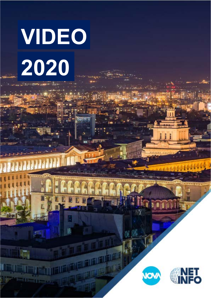# VIDEO 2020

F

 $\mathbf B$ 

抓



H

G

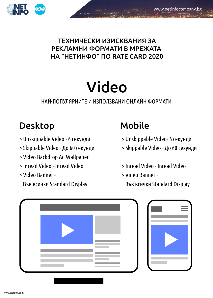

## ТЕХНИЧЕСКИ ИЗИСКВАНИЯ ЗА РЕКЛАМНИ ФОРМАТИ В МРЕЖАТА HA "HETИНФО" ПО RATE CARD 2020

## Video

## НАЙ-ПОПУЛЯРНИТЕ И ИЗПОЛЗВАНИ ОНЛАЙН ФОРМАТИ

## Desktop Mobile

- > Unskippable Video 6 секунди
- > Skippable Video До 60 секунди
- ! Video Backdrop Ad Wallpaper
- ! Inread Video Inread Video
- ! Video Banner -

### Във всички Standard Display

- > Unskippable Video- 6 секунди
- > Skippable Video До 60 секунди
- ! Inread Video Inread Video
- ! Video Banner
	- Във всички Standard Display



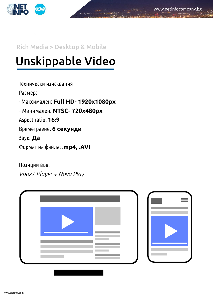

#### Rich Media > Desktop & Mobile

## Unskippable Video

#### Технически изисквания

Размер:

- Максимален: Full HD- 1920x1080px

- Минимален: NTSC- 720x480px

Aspect ratio: 16:9

Времетраене: 6 секунди

Звук: Да

˥˿́˽˱̃˾˱̅˱˺˼˱**mp4, .AVI**

Позиции във:

*Vbox7 Player + Nova Play*



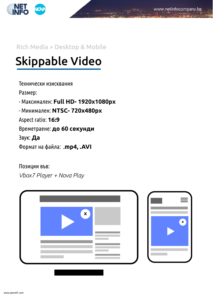

### Rich Media > Desktop & Mobile

## Skippable Video

Технически изисквания

Размер:

- Максимален: Full HD- 1920x1080px

- Минимален: NTSC- 720x480px

Aspect ratio: 16:9

Времетраене: до 60 секунди

Звук: Да

˥˿́˽˱̃˾˱̅˱˺˼˱**mp4 .AVI**

Позиции във:

*Vbox7 Player + Nova Play*



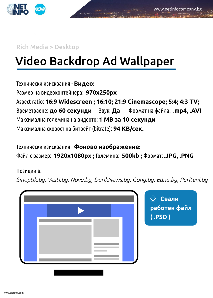

Rich Media > Desktop

## Video Backdrop Ad Wallpaper

Технически изисквания - Видео: Размер на видеоконтейнера: 970x250px Aspect ratio: 16:9 Widescreen ; 16:10; 21:9 Cinemascope; 5:4; 4:3 TV; Времетраене: до 60 секунди Ввук: Да Формат на файла: .mp4, .AVI Максимална големина на видеото: 1 МВ за 10 секунди Максимална скорост на битрейт (bitrate): 94 КВ/сек.

Технически изисквания - Фоново изображение: ˥˱˺˼̂́˱˸˽˶́**1920x1080S[ ;** ˔˿˼˶˽˹˾˱**500kb ;** ˥˿́˽˱̃**JPG, .PNG**

Позиции в:

*Sinoptik.bg, Vesti.bg, Nova.bg, DarikNews.bg, Gong.bg, Edna.bg, Pariteni.bg*



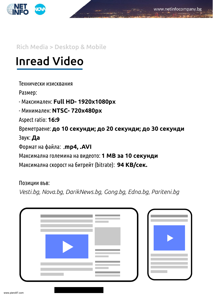

### Rich Media > Desktop & Mobile

## Inread Video

Технически изисквания

Размер:

- Максимален: Full HD- 1920x1080px

- Минимален: NTSC- 720x480px

Aspect ratio: 16:9

Времетраене: до 10 секунди; до 20 секунди; до 30 секунди

Звук: Да

˥˿́˽˱̃˾˱̅˱˺˼˱**mp4, .AVI**

Максимална големина на видеото: 1 МВ за 10 секунди

Максимална скорост на битрейт (bitrate): 94 КВ/сек.

Позиции във:

*Vesti.bg, Nova.bg, DarikNews.bg, Gong.bg, Edna.bg, Pariteni.bg*



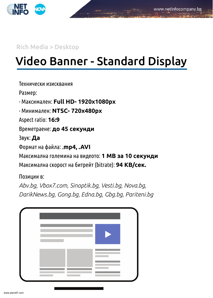

Rich Media > Desktop

## Video Banner - Standard Display

Технически изисквания

Размер:

- Максимален: Full HD- 1920x1080px

• Минимален: NTSC- 720x480px

Aspect ratio: 16:9

Времетраене: до 45 секунди

Звук: Да

˥˿́˽˱̃˾˱̅˱˺˼˱**mp4, .AVI**

Максимална големина на видеото: 1 МВ за 10 секунди

Максимална скорост на битрейт (bitrate): 94 КВ/сек.

Позиции в:

*Abv.bg, Vbox7.com, Sinoptik.bg, Vesti.bg, Nova.bg, DarikNews.bg, Gong.bg, Edna.bg, Gbg.bg, Pariteni.bg,* 



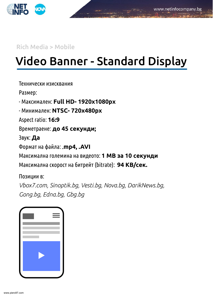

Rich Media > Mobile

## Video Banner - Standard Display

Технически изисквания

Размер:

- Максимален: Full HD- 1920x1080px

• Минимален: NTSC- 720x480px

Aspect ratio: 16:9

Времетраене: до 45 секунди;

Звук: Да

˥˿́˽˱̃˾˱̅˱˺˼˱ **mp4, .AVI**

Максимална големина на видеото: 1 МВ за 10 секунди

Максимална скорост на битрейт (bitrate): 94 КВ/сек.

Позиции в:

*Vbox7.com, Sinoptik.bg, Vesti.bg, Nova.bg, DarikNews.bg, Gong.bg, Edna.bg, Gbg.bg*